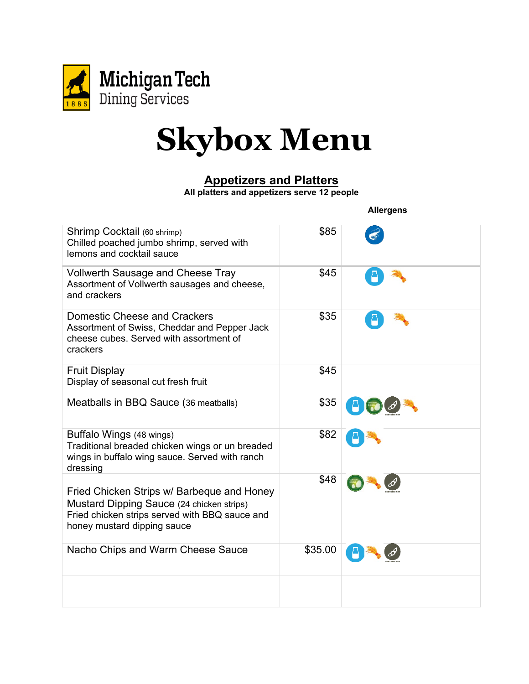

### **Appetizers and Platters**

**All platters and appetizers serve 12 people**

 **Allergens**

| Shrimp Cocktail (60 shrimp)<br>Chilled poached jumbo shrimp, served with<br>lemons and cocktail sauce                                                                    | \$85    |  |
|--------------------------------------------------------------------------------------------------------------------------------------------------------------------------|---------|--|
| <b>Vollwerth Sausage and Cheese Tray</b><br>Assortment of Vollwerth sausages and cheese,<br>and crackers                                                                 | \$45    |  |
| <b>Domestic Cheese and Crackers</b><br>Assortment of Swiss, Cheddar and Pepper Jack<br>cheese cubes. Served with assortment of<br>crackers                               | \$35    |  |
| <b>Fruit Display</b><br>Display of seasonal cut fresh fruit                                                                                                              | \$45    |  |
| Meatballs in BBQ Sauce (36 meatballs)                                                                                                                                    | \$35    |  |
| Buffalo Wings (48 wings)<br>Traditional breaded chicken wings or un breaded<br>wings in buffalo wing sauce. Served with ranch<br>dressing                                | \$82    |  |
| Fried Chicken Strips w/ Barbeque and Honey<br>Mustard Dipping Sauce (24 chicken strips)<br>Fried chicken strips served with BBQ sauce and<br>honey mustard dipping sauce | \$48    |  |
| Nacho Chips and Warm Cheese Sauce                                                                                                                                        | \$35.00 |  |
|                                                                                                                                                                          |         |  |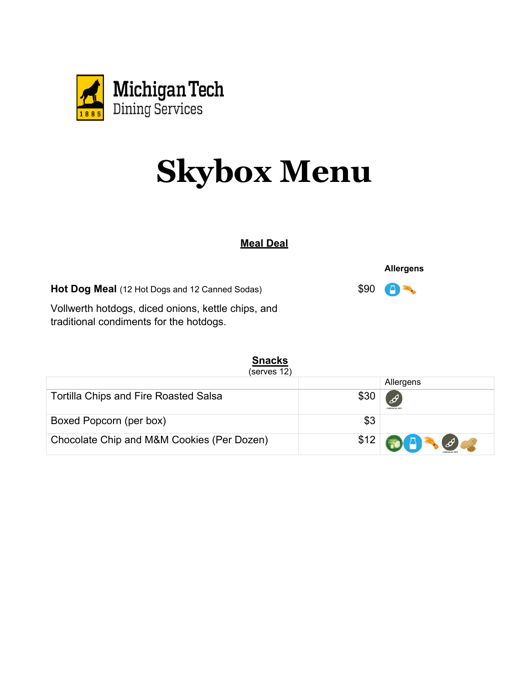

#### **Meal Deal**

**Hot Dog Meal** (12 Hot Dogs and 12 Canned Sodas)

Vollwerth hotdogs, diced onions, kettle chips, and traditional condiments for the hotdogs.

#### **Snacks**

(serves 12)

|                                              |     | Allergens                |
|----------------------------------------------|-----|--------------------------|
| <b>Tortilla Chips and Fire Roasted Salsa</b> |     | CONTAINS SO              |
| Boxed Popcorn (per box)                      | \$3 |                          |
| Chocolate Chip and M&M Cookies (Per Dozen)   |     | $$12$ <b>QF</b> $\theta$ |

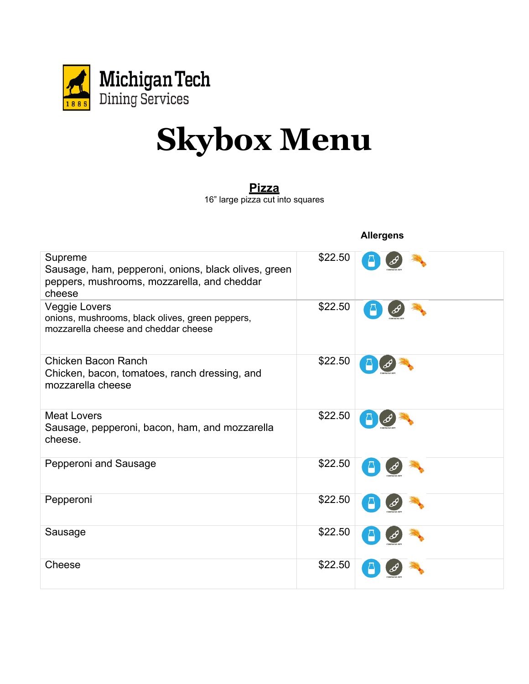

#### **Pizza**

16" large pizza cut into squares

**Allergens**

| Supreme<br>Sausage, ham, pepperoni, onions, black olives, green<br>peppers, mushrooms, mozzarella, and cheddar<br>cheese | \$22.50 |  |
|--------------------------------------------------------------------------------------------------------------------------|---------|--|
| Veggie Lovers<br>onions, mushrooms, black olives, green peppers,<br>mozzarella cheese and cheddar cheese                 | \$22.50 |  |
| Chicken Bacon Ranch<br>Chicken, bacon, tomatoes, ranch dressing, and<br>mozzarella cheese                                | \$22.50 |  |
| <b>Meat Lovers</b><br>Sausage, pepperoni, bacon, ham, and mozzarella<br>cheese.                                          | \$22.50 |  |
| Pepperoni and Sausage                                                                                                    | \$22.50 |  |
| Pepperoni                                                                                                                | \$22.50 |  |
| Sausage                                                                                                                  | \$22.50 |  |
| Cheese                                                                                                                   | \$22.50 |  |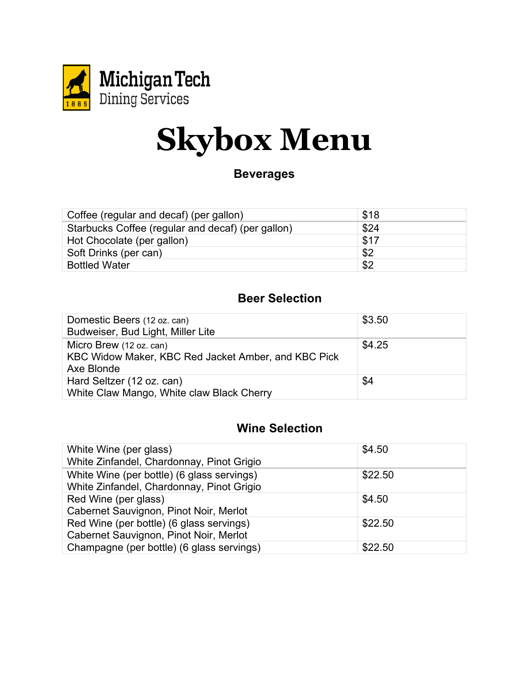

#### **Beverages**

| Coffee (regular and decaf) (per gallon)           | \$18 |
|---------------------------------------------------|------|
| Starbucks Coffee (regular and decaf) (per gallon) | \$24 |
| Hot Chocolate (per gallon)                        | \$17 |
| Soft Drinks (per can)                             | \$2  |
| <b>Bottled Water</b>                              | \$2  |

## **Beer Selection**

| Domestic Beers (12 oz. can)<br>Budweiser, Bud Light, Miller Lite                             | \$3.50 |
|----------------------------------------------------------------------------------------------|--------|
| Micro Brew (12 oz. can)<br>KBC Widow Maker, KBC Red Jacket Amber, and KBC Pick<br>Axe Blonde | \$4.25 |
| Hard Seltzer (12 oz. can)<br>White Claw Mango, White claw Black Cherry                       | \$4    |

### **Wine Selection**

| White Wine (per glass)<br>White Zinfandel, Chardonnay, Pinot Grigio                     | \$4.50  |
|-----------------------------------------------------------------------------------------|---------|
| White Wine (per bottle) (6 glass servings)<br>White Zinfandel, Chardonnay, Pinot Grigio | \$22.50 |
| Red Wine (per glass)<br>Cabernet Sauvignon, Pinot Noir, Merlot                          | \$4.50  |
| Red Wine (per bottle) (6 glass servings)<br>Cabernet Sauvignon, Pinot Noir, Merlot      | \$22.50 |
| Champagne (per bottle) (6 glass servings)                                               | \$22.50 |